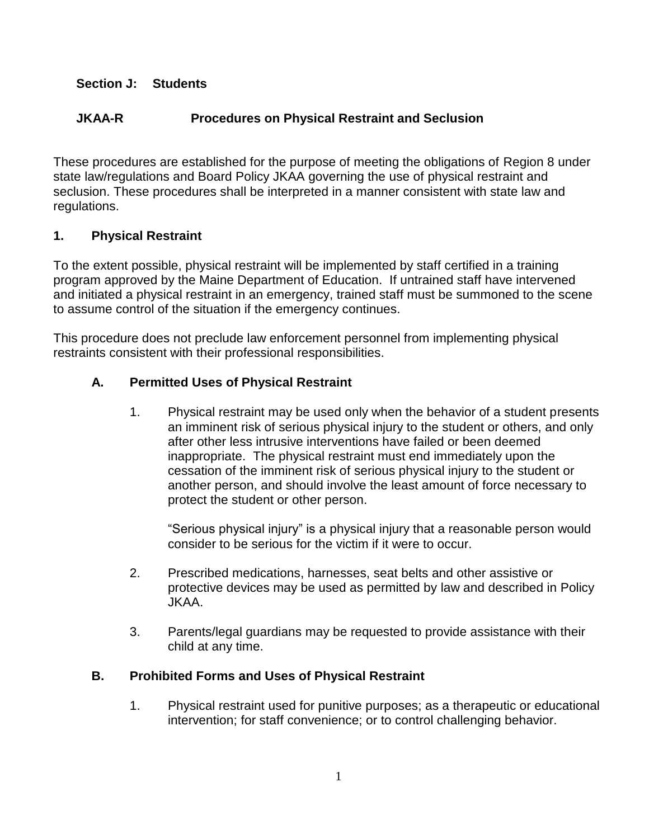#### **Section J: Students**

# **JKAA-R Procedures on Physical Restraint and Seclusion**

These procedures are established for the purpose of meeting the obligations of Region 8 under state law/regulations and Board Policy JKAA governing the use of physical restraint and seclusion. These procedures shall be interpreted in a manner consistent with state law and regulations.

#### **1. Physical Restraint**

To the extent possible, physical restraint will be implemented by staff certified in a training program approved by the Maine Department of Education. If untrained staff have intervened and initiated a physical restraint in an emergency, trained staff must be summoned to the scene to assume control of the situation if the emergency continues.

This procedure does not preclude law enforcement personnel from implementing physical restraints consistent with their professional responsibilities.

#### **A. Permitted Uses of Physical Restraint**

1. Physical restraint may be used only when the behavior of a student presents an imminent risk of serious physical injury to the student or others, and only after other less intrusive interventions have failed or been deemed inappropriate. The physical restraint must end immediately upon the cessation of the imminent risk of serious physical injury to the student or another person, and should involve the least amount of force necessary to protect the student or other person.

"Serious physical injury" is a physical injury that a reasonable person would consider to be serious for the victim if it were to occur.

- 2. Prescribed medications, harnesses, seat belts and other assistive or protective devices may be used as permitted by law and described in Policy JKAA.
- 3. Parents/legal guardians may be requested to provide assistance with their child at any time.

#### **B. Prohibited Forms and Uses of Physical Restraint**

1. Physical restraint used for punitive purposes; as a therapeutic or educational intervention; for staff convenience; or to control challenging behavior.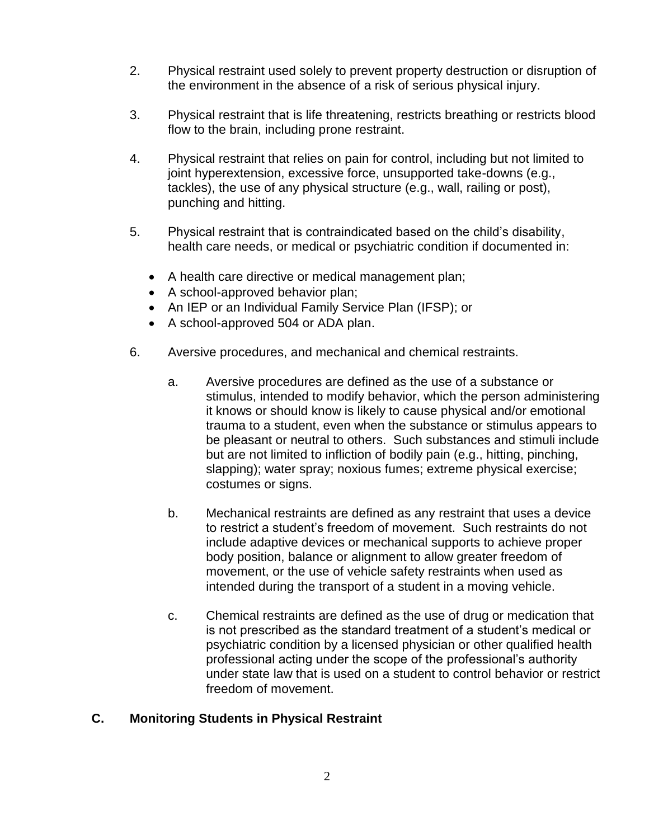- 2. Physical restraint used solely to prevent property destruction or disruption of the environment in the absence of a risk of serious physical injury.
- 3. Physical restraint that is life threatening, restricts breathing or restricts blood flow to the brain, including prone restraint.
- 4. Physical restraint that relies on pain for control, including but not limited to joint hyperextension, excessive force, unsupported take-downs (e.g., tackles), the use of any physical structure (e.g., wall, railing or post), punching and hitting.
- 5. Physical restraint that is contraindicated based on the child's disability, health care needs, or medical or psychiatric condition if documented in:
	- A health care directive or medical management plan;
	- A school-approved behavior plan;
	- An IEP or an Individual Family Service Plan (IFSP); or
	- A school-approved 504 or ADA plan.
- 6. Aversive procedures, and mechanical and chemical restraints.
	- a. Aversive procedures are defined as the use of a substance or stimulus, intended to modify behavior, which the person administering it knows or should know is likely to cause physical and/or emotional trauma to a student, even when the substance or stimulus appears to be pleasant or neutral to others. Such substances and stimuli include but are not limited to infliction of bodily pain (e.g., hitting, pinching, slapping); water spray; noxious fumes; extreme physical exercise; costumes or signs.
	- b. Mechanical restraints are defined as any restraint that uses a device to restrict a student's freedom of movement. Such restraints do not include adaptive devices or mechanical supports to achieve proper body position, balance or alignment to allow greater freedom of movement, or the use of vehicle safety restraints when used as intended during the transport of a student in a moving vehicle.
	- c. Chemical restraints are defined as the use of drug or medication that is not prescribed as the standard treatment of a student's medical or psychiatric condition by a licensed physician or other qualified health professional acting under the scope of the professional's authority under state law that is used on a student to control behavior or restrict freedom of movement.

# **C. Monitoring Students in Physical Restraint**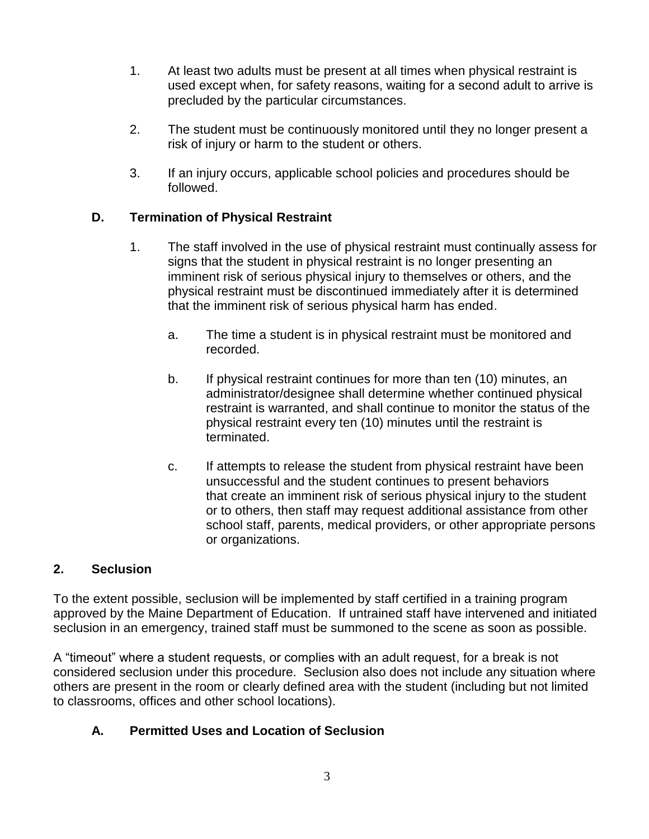- 1. At least two adults must be present at all times when physical restraint is used except when, for safety reasons, waiting for a second adult to arrive is precluded by the particular circumstances.
- 2. The student must be continuously monitored until they no longer present a risk of injury or harm to the student or others.
- 3. If an injury occurs, applicable school policies and procedures should be followed.

# **D. Termination of Physical Restraint**

- 1. The staff involved in the use of physical restraint must continually assess for signs that the student in physical restraint is no longer presenting an imminent risk of serious physical injury to themselves or others, and the physical restraint must be discontinued immediately after it is determined that the imminent risk of serious physical harm has ended.
	- a. The time a student is in physical restraint must be monitored and recorded.
	- b. If physical restraint continues for more than ten (10) minutes, an administrator/designee shall determine whether continued physical restraint is warranted, and shall continue to monitor the status of the physical restraint every ten (10) minutes until the restraint is terminated.
	- c. If attempts to release the student from physical restraint have been unsuccessful and the student continues to present behaviors that create an imminent risk of serious physical injury to the student or to others, then staff may request additional assistance from other school staff, parents, medical providers, or other appropriate persons or organizations.

## **2. Seclusion**

To the extent possible, seclusion will be implemented by staff certified in a training program approved by the Maine Department of Education. If untrained staff have intervened and initiated seclusion in an emergency, trained staff must be summoned to the scene as soon as possible.

A "timeout" where a student requests, or complies with an adult request, for a break is not considered seclusion under this procedure. Seclusion also does not include any situation where others are present in the room or clearly defined area with the student (including but not limited to classrooms, offices and other school locations).

# **A. Permitted Uses and Location of Seclusion**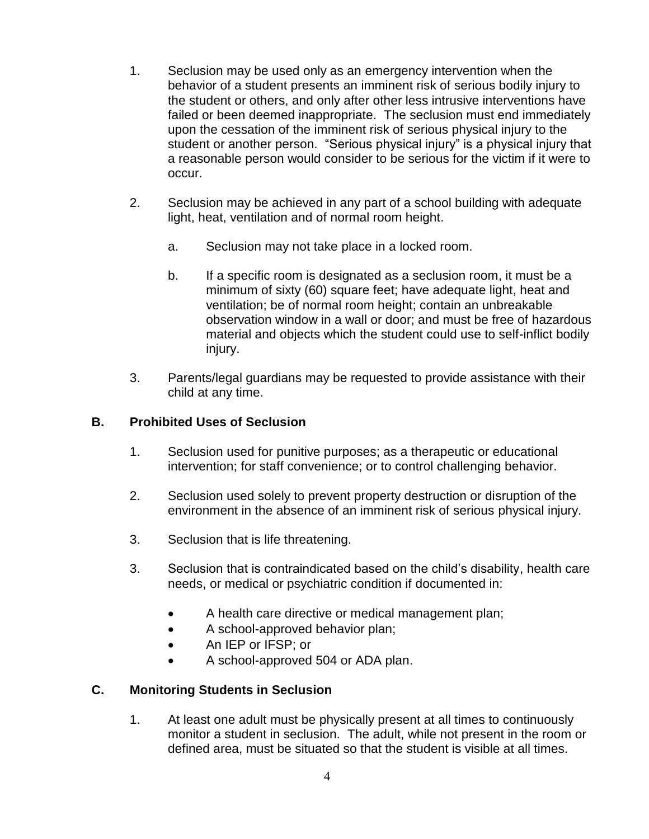- 1. Seclusion may be used only as an emergency intervention when the behavior of a student presents an imminent risk of serious bodily injury to the student or others, and only after other less intrusive interventions have failed or been deemed inappropriate. The seclusion must end immediately upon the cessation of the imminent risk of serious physical injury to the student or another person. "Serious physical injury" is a physical injury that a reasonable person would consider to be serious for the victim if it were to occur.
- 2. Seclusion may be achieved in any part of a school building with adequate light, heat, ventilation and of normal room height.
	- a. Seclusion may not take place in a locked room.
	- b. If a specific room is designated as a seclusion room, it must be a minimum of sixty (60) square feet; have adequate light, heat and ventilation; be of normal room height; contain an unbreakable observation window in a wall or door; and must be free of hazardous material and objects which the student could use to self-inflict bodily injury.
- 3. Parents/legal guardians may be requested to provide assistance with their child at any time.

#### **B. Prohibited Uses of Seclusion**

- 1. Seclusion used for punitive purposes; as a therapeutic or educational intervention; for staff convenience; or to control challenging behavior.
- 2. Seclusion used solely to prevent property destruction or disruption of the environment in the absence of an imminent risk of serious physical injury.
- 3. Seclusion that is life threatening.
- 3. Seclusion that is contraindicated based on the child's disability, health care needs, or medical or psychiatric condition if documented in:
	- A health care directive or medical management plan;
	- A school-approved behavior plan;
	- An IEP or IFSP; or
	- A school-approved 504 or ADA plan.

## **C. Monitoring Students in Seclusion**

1. At least one adult must be physically present at all times to continuously monitor a student in seclusion. The adult, while not present in the room or defined area, must be situated so that the student is visible at all times.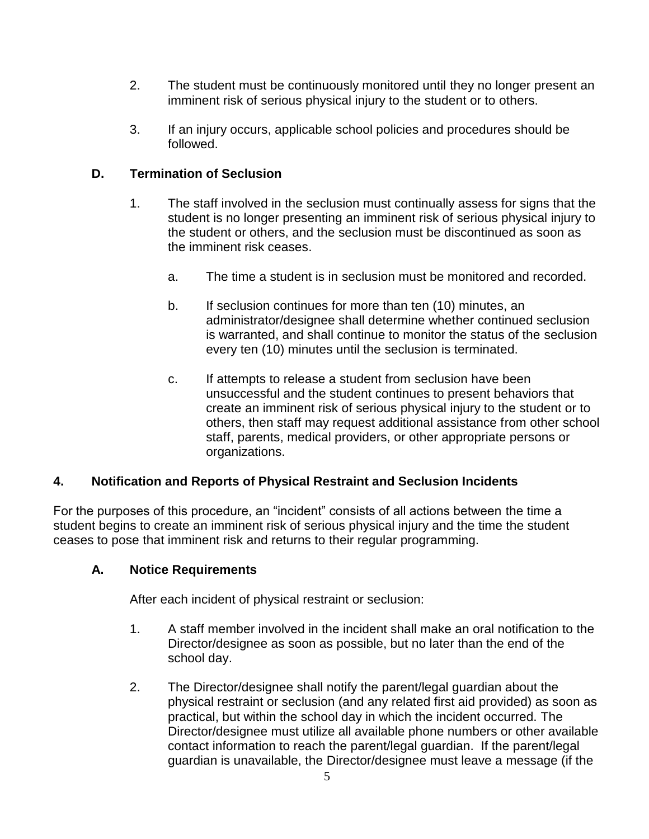- 2. The student must be continuously monitored until they no longer present an imminent risk of serious physical injury to the student or to others.
- 3. If an injury occurs, applicable school policies and procedures should be followed.

# **D. Termination of Seclusion**

- 1. The staff involved in the seclusion must continually assess for signs that the student is no longer presenting an imminent risk of serious physical injury to the student or others, and the seclusion must be discontinued as soon as the imminent risk ceases.
	- a. The time a student is in seclusion must be monitored and recorded.
	- b. If seclusion continues for more than ten (10) minutes, an administrator/designee shall determine whether continued seclusion is warranted, and shall continue to monitor the status of the seclusion every ten (10) minutes until the seclusion is terminated.
	- c. If attempts to release a student from seclusion have been unsuccessful and the student continues to present behaviors that create an imminent risk of serious physical injury to the student or to others, then staff may request additional assistance from other school staff, parents, medical providers, or other appropriate persons or organizations.

## **4. Notification and Reports of Physical Restraint and Seclusion Incidents**

For the purposes of this procedure, an "incident" consists of all actions between the time a student begins to create an imminent risk of serious physical injury and the time the student ceases to pose that imminent risk and returns to their regular programming.

## **A. Notice Requirements**

After each incident of physical restraint or seclusion:

- 1. A staff member involved in the incident shall make an oral notification to the Director/designee as soon as possible, but no later than the end of the school day.
- 2. The Director/designee shall notify the parent/legal guardian about the physical restraint or seclusion (and any related first aid provided) as soon as practical, but within the school day in which the incident occurred. The Director/designee must utilize all available phone numbers or other available contact information to reach the parent/legal guardian. If the parent/legal guardian is unavailable, the Director/designee must leave a message (if the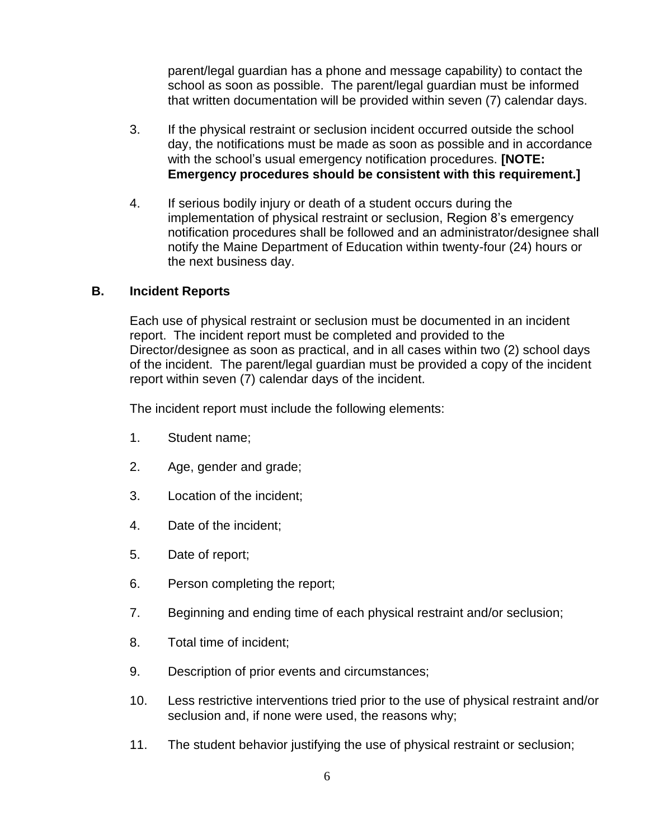parent/legal guardian has a phone and message capability) to contact the school as soon as possible. The parent/legal guardian must be informed that written documentation will be provided within seven (7) calendar days.

- 3. If the physical restraint or seclusion incident occurred outside the school day, the notifications must be made as soon as possible and in accordance with the school's usual emergency notification procedures. **[NOTE: Emergency procedures should be consistent with this requirement.]**
- 4. If serious bodily injury or death of a student occurs during the implementation of physical restraint or seclusion, Region 8's emergency notification procedures shall be followed and an administrator/designee shall notify the Maine Department of Education within twenty-four (24) hours or the next business day.

#### **B. Incident Reports**

Each use of physical restraint or seclusion must be documented in an incident report. The incident report must be completed and provided to the Director/designee as soon as practical, and in all cases within two (2) school days of the incident. The parent/legal guardian must be provided a copy of the incident report within seven (7) calendar days of the incident.

The incident report must include the following elements:

- 1. Student name;
- 2. Age, gender and grade;
- 3. Location of the incident;
- 4. Date of the incident;
- 5. Date of report;
- 6. Person completing the report;
- 7. Beginning and ending time of each physical restraint and/or seclusion;
- 8. Total time of incident;
- 9. Description of prior events and circumstances;
- 10. Less restrictive interventions tried prior to the use of physical restraint and/or seclusion and, if none were used, the reasons why;
- 11. The student behavior justifying the use of physical restraint or seclusion;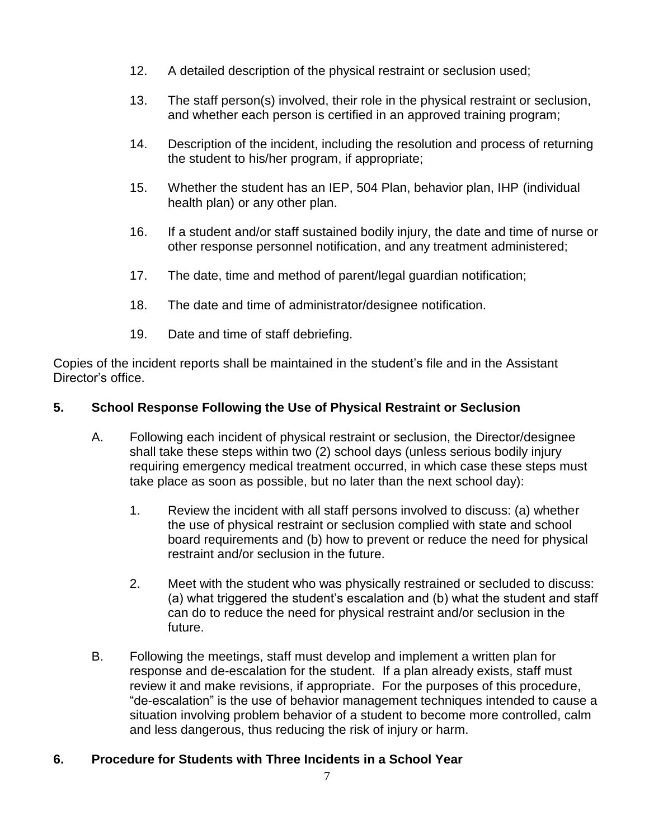- 12. A detailed description of the physical restraint or seclusion used;
- 13. The staff person(s) involved, their role in the physical restraint or seclusion, and whether each person is certified in an approved training program;
- 14. Description of the incident, including the resolution and process of returning the student to his/her program, if appropriate;
- 15. Whether the student has an IEP, 504 Plan, behavior plan, IHP (individual health plan) or any other plan.
- 16. If a student and/or staff sustained bodily injury, the date and time of nurse or other response personnel notification, and any treatment administered;
- 17. The date, time and method of parent/legal guardian notification;
- 18. The date and time of administrator/designee notification.
- 19. Date and time of staff debriefing.

Copies of the incident reports shall be maintained in the student's file and in the Assistant Director's office.

#### **5. School Response Following the Use of Physical Restraint or Seclusion**

- A. Following each incident of physical restraint or seclusion, the Director/designee shall take these steps within two (2) school days (unless serious bodily injury requiring emergency medical treatment occurred, in which case these steps must take place as soon as possible, but no later than the next school day):
	- 1. Review the incident with all staff persons involved to discuss: (a) whether the use of physical restraint or seclusion complied with state and school board requirements and (b) how to prevent or reduce the need for physical restraint and/or seclusion in the future.
	- 2. Meet with the student who was physically restrained or secluded to discuss: (a) what triggered the student's escalation and (b) what the student and staff can do to reduce the need for physical restraint and/or seclusion in the future.
- B. Following the meetings, staff must develop and implement a written plan for response and de-escalation for the student. If a plan already exists, staff must review it and make revisions, if appropriate. For the purposes of this procedure, "de-escalation" is the use of behavior management techniques intended to cause a situation involving problem behavior of a student to become more controlled, calm and less dangerous, thus reducing the risk of injury or harm.

## **6. Procedure for Students with Three Incidents in a School Year**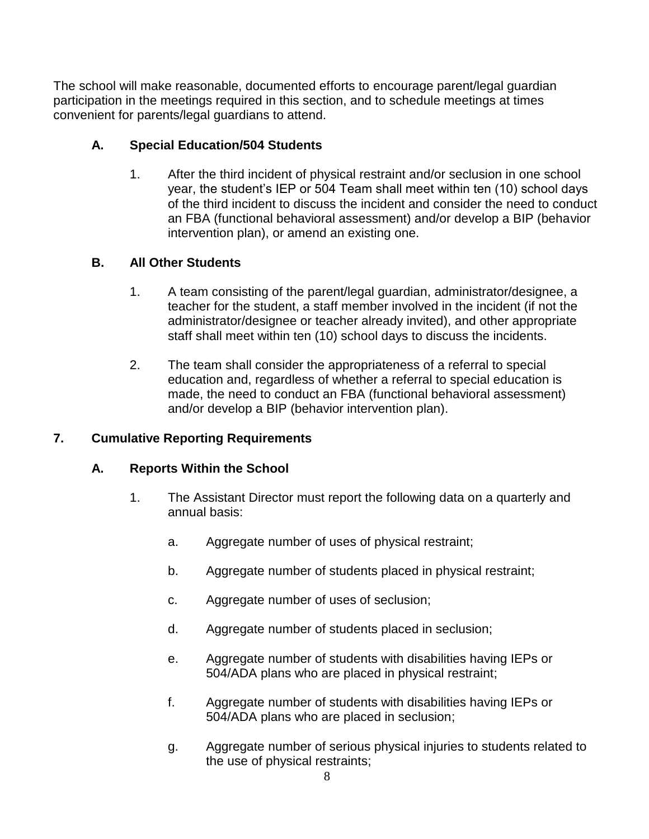The school will make reasonable, documented efforts to encourage parent/legal guardian participation in the meetings required in this section, and to schedule meetings at times convenient for parents/legal guardians to attend.

## **A. Special Education/504 Students**

1. After the third incident of physical restraint and/or seclusion in one school year, the student's IEP or 504 Team shall meet within ten (10) school days of the third incident to discuss the incident and consider the need to conduct an FBA (functional behavioral assessment) and/or develop a BIP (behavior intervention plan), or amend an existing one.

#### **B. All Other Students**

- 1. A team consisting of the parent/legal guardian, administrator/designee, a teacher for the student, a staff member involved in the incident (if not the administrator/designee or teacher already invited), and other appropriate staff shall meet within ten (10) school days to discuss the incidents.
- 2. The team shall consider the appropriateness of a referral to special education and, regardless of whether a referral to special education is made, the need to conduct an FBA (functional behavioral assessment) and/or develop a BIP (behavior intervention plan).

## **7. Cumulative Reporting Requirements**

#### **A. Reports Within the School**

- 1. The Assistant Director must report the following data on a quarterly and annual basis:
	- a. Aggregate number of uses of physical restraint;
	- b. Aggregate number of students placed in physical restraint;
	- c. Aggregate number of uses of seclusion;
	- d. Aggregate number of students placed in seclusion;
	- e. Aggregate number of students with disabilities having IEPs or 504/ADA plans who are placed in physical restraint;
	- f. Aggregate number of students with disabilities having IEPs or 504/ADA plans who are placed in seclusion;
	- g. Aggregate number of serious physical injuries to students related to the use of physical restraints;